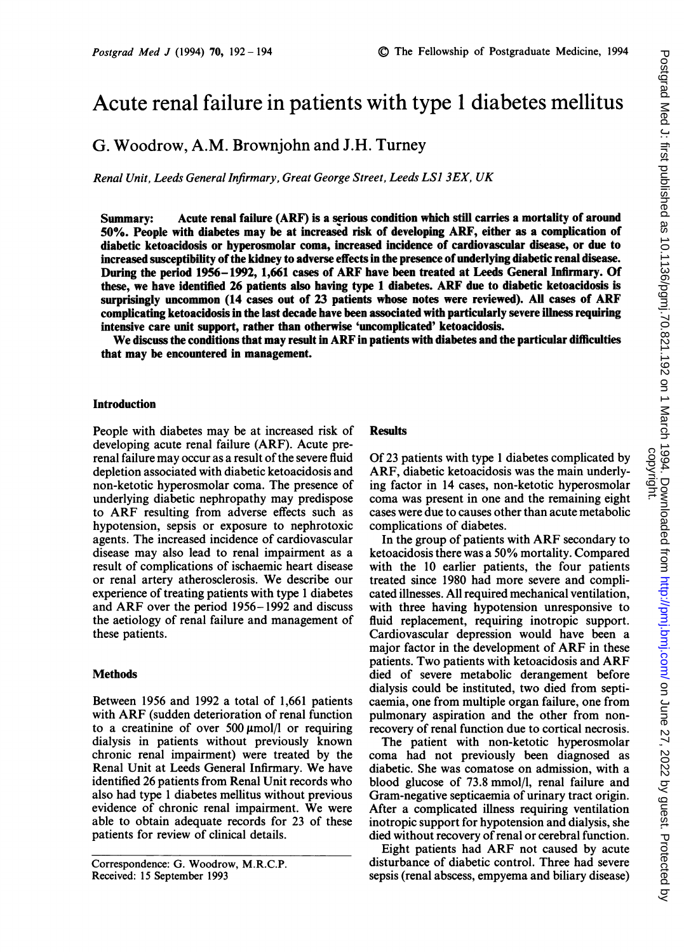# Acute renal failure in patients with type <sup>1</sup> diabetes mellitus

G. Woodrow, A.M. Brownjohn and J.H. Turney

Renal Unit, Leeds General Infirmary, Great George Street, Leeds LSJ 3EX, UK

Summary: Acute renal failure (ARF) is a serious condition which still carries a mortality of around 50%. People with diabetes may be at increased risk of developing ARF, either as a complication of diabetic ketoacidosis or hyperosmolar coma, increased incidence of cardiovascular disease, or due to increased susceptibility ofthe kidney to adverse effects in the presence of underlying diabetic renal disease. During the period 1956-1992, 1,661 cases of ARF have been treated at Leeds General Infirmary. Of these, we have identified 26 patients also having type <sup>1</sup> diabetes. ARF due to diabetic ketoacidosis is surprisingly uncommon (14 cases out of 23 patients whose notes were reviewed). All cases of ARF complicating ketoacidosis in the last decade have been associated with particularly severe illness requiring intensive care unit support, rather than otherwise 'uncomplicated' ketoacidosis.

We discuss the conditions that may result in ARF in patients with diabetes and the particular difficulties that may be encountered in management.

### Introduction

People with diabetes may be at increased risk of developing acute renal failure (ARF). Acute prerenal failure may occur as a result of the severe fluid depletion associated with diabetic ketoacidosis and non-ketotic hyperosmolar coma. The presence of underlying diabetic nephropathy may predispose to ARF resulting from adverse effects such as hypotension, sepsis or exposure to nephrotoxic agents. The increased incidence of cardiovascular disease may also lead to renal impairment as a result of complications of ischaemic heart disease or renal artery atherosclerosis. We describe our experience of treating patients with type <sup>1</sup> diabetes and ARF over the period 1956-1992 and discuss the aetiology of renal failure and management of these patients.

## **Methods**

Between 1956 and 1992 a total of 1,661 patients with ARF (sudden deterioration of renal function to a creatinine of over  $500 \mu \text{mol/l}$  or requiring dialysis in patients without previously known chronic renal impairment) were treated by the Renal Unit at Leeds General Infirmary. We have identified 26 patients from Renal Unit records who also had type <sup>1</sup> diabetes mellitus without previous evidence of chronic renal impairment. We were able to obtain adequate records for 23 of these patients for review of clinical details.

Correspondence: G. Woodrow, M.R.C.P. Received: 15 September 1993

# **Results**

Of 23 patients with type <sup>1</sup> diabetes complicated by ARF, diabetic ketoacidosis was the main underlying factor in 14 cases, non-ketotic hyperosmolar coma was present in one and the remaining eight cases were due to causes other than acute metabolic complications of diabetes.

In the group of patients with ARF secondary to ketoacidosis there was a 50% mortality. Compared with the 10 earlier patients, the four patients treated since 1980 had more severe and complicated illnesses. All required mechanical ventilation, with three having hypotension unresponsive to fluid replacement, requiring inotropic support. Cardiovascular depression would have been a major factor in the development of ARF in these patients. Two patients with ketoacidosis and ARF died of severe metabolic derangement before dialysis could be instituted, two died from septicaemia, one from multiple organ failure, one from pulmonary aspiration and the other from nonrecovery of renal function due to cortical necrosis.

The patient with non-ketotic hyperosmolar coma had not previously been diagnosed as diabetic. She was comatose on admission, with a blood glucose of 73.8 mmol/l, renal failure and Gram-negative septicaemia of urinary tract origin. After a complicated illness requiring ventilation inotropic support for hypotension and dialysis, she died without recovery of renal or cerebral function.

Eight patients had ARF not caused by acute disturbance of diabetic control. Three had severe sepsis (renal abscess, empyema and biliary disease)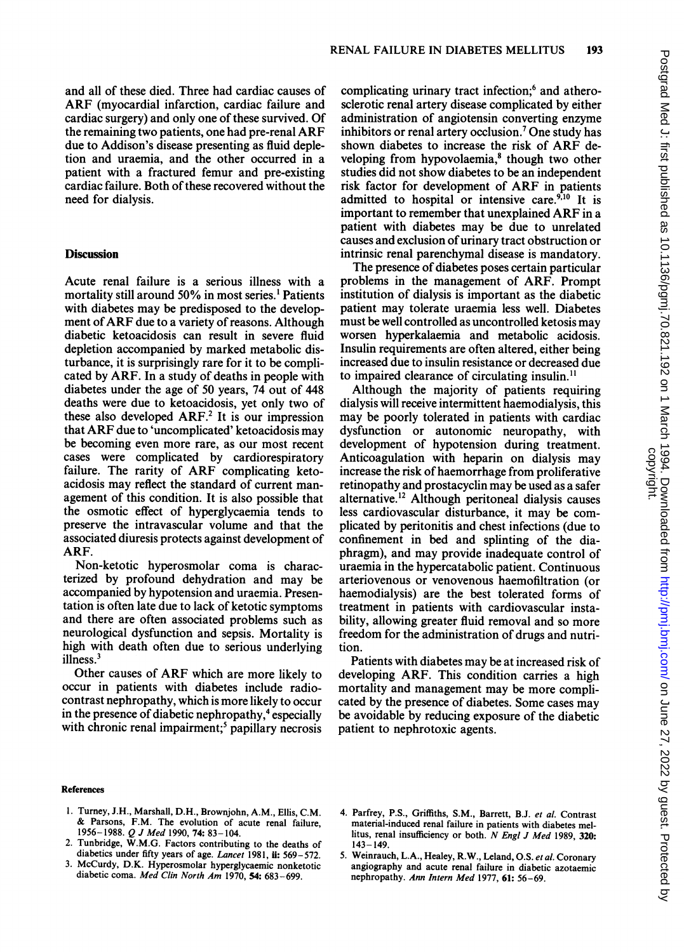and all of these died. Three had cardiac causes of ARF (myocardial infarction, cardiac failure and cardiac surgery) and only one of these survived. Of the remaining two patients, one had pre-renal ARF due to Addison's disease presenting as fluid depletion and uraemia, and the other occurred in a patient with a fractured femur and pre-existing cardiac failure. Both of these recovered without the need for dialysis.

# **Discussion**

Acute renal failure is a serious illness with a mortality still around 50% in most series.' Patients with diabetes may be predisposed to the development of ARF due to <sup>a</sup> variety of reasons. Although diabetic ketoacidosis can result in severe fluid depletion accompanied by marked metabolic disturbance, it is surprisingly rare for it to be complicated by ARF. In a study of deaths in people with diabetes under the age of 50 years, 74 out of 448 deaths were due to ketoacidosis, yet only two of these also developed  $ARF<sup>2</sup>$ . It is our impression that ARF due to 'uncomplicated' ketoacidosis may be becoming even more rare, as our most recent cases were complicated by cardiorespiratory failure. The rarity of ARF complicating ketoacidosis may reflect the standard of current management of this condition. It is also possible that the osmotic effect of hyperglycaemia tends to preserve the intravascular volume and that the associated diuresis protects against development of ARF.

Non-ketotic hyperosmolar coma is characterized by profound dehydration and may be accompanied by hypotension and uraemia. Presentation is often late due to lack of ketotic symptoms and there are often associated problems such as neurological dysfunction and sepsis. Mortality is high with death often due to serious underlying illness.3

Other causes of ARF which are more likely to occur in patients with diabetes include radiocontrast nephropathy, which is more likely to occur in the presence of diabetic nephropathy,<sup>4</sup> especially with chronic renal impairment;<sup>5</sup> papillary necrosis complicating urinary tract infection;<sup>6</sup> and atherosclerotic renal artery disease complicated by either administration of angiotensin converting enzyme inhibitors or renal artery occlusion.7 One study has shown diabetes to increase the risk of ARF developing from hypovolaemia,<sup>8</sup> though two other studies did not show diabetes to be an independent risk factor for development of ARF in patients admitted to hospital or intensive care. $9,10$  It is important to remember that unexplained ARF in <sup>a</sup> patient with diabetes may be due to unrelated causes and exclusion of urinary tract obstruction or intrinsic renal parenchymal disease is mandatory.

The presence of diabetes poses certain particular problems in the management of ARF. Prompt institution of dialysis is important as the diabetic patient may tolerate uraemia less well. Diabetes must be well controlled as uncontrolled ketosis may worsen hyperkalaemia and metabolic acidosis. Insulin requirements are often altered, either being increased due to insulin resistance or decreased due to impaired clearance of circulating insulin.<sup>11</sup>

Although the majority of patients requiring dialysis will receive intermittent haemodialysis, this may be poorly tolerated in patients with cardiac dysfunction or autonomic neuropathy, with development of hypotension during treatment. Anticoagulation with heparin on dialysis may increase the risk of haemorrhage from proliferative retinopathy and prostacyclin may be used as a safer alternative.'2 Although peritoneal dialysis causes less cardiovascular disturbance, it may be complicated by peritonitis and chest infections (due to confinement in bed and splinting of the diaphragm), and may provide inadequate control of uraemia in the hypercatabolic patient. Continuous arteriovenous or venovenous haemofiltration (or haemodialysis) are the best tolerated forms of treatment in patients with cardiovascular instability, allowing greater fluid removal and so more freedom for the administration of drugs and nutrition.

Patients with diabetes may be at increased risk of developing ARF. This condition carries a high mortality and management may be more complicated by the presence of diabetes. Some cases may be avoidable by reducing exposure of the diabetic patient to nephrotoxic agents.

#### References

- 1. Turney, J.H., Marshall, D.H., Brownjohn, A.M., Ellis, C.M. & Parsons, F.M. The evolution of acute renal failure, 1956-1988. *Q J Med* 1990, **74:** 83-104.
- 2. Tunbridge, W.M.G. Factors contributing to the deaths of diabetics under fifty years of age. Lancet 1981, ii:  $569 - 572$ .
- 3. McCurdy, D.K. Hyperosmolar hyperglycaemic nonketotic diabetic coma. Med Clin North Am 1970, 54: 683-699.
- 4. Parfrey, P.S., Griffiths, S.M., Barrett, B.J. et al. Contrast material-induced renal failure in patients with diabetes mellitus, renal insufficiency or both. N Engl <sup>J</sup> Med 1989, 320: 143-149.
- 5. Weinrauch, L.A., Healey, R.W., Leland, O.S. et al. Coronary angiography and acute renal failure in diabetic azotaemic nephropathy. Ann Intern Med 1977, 61: 56-69.